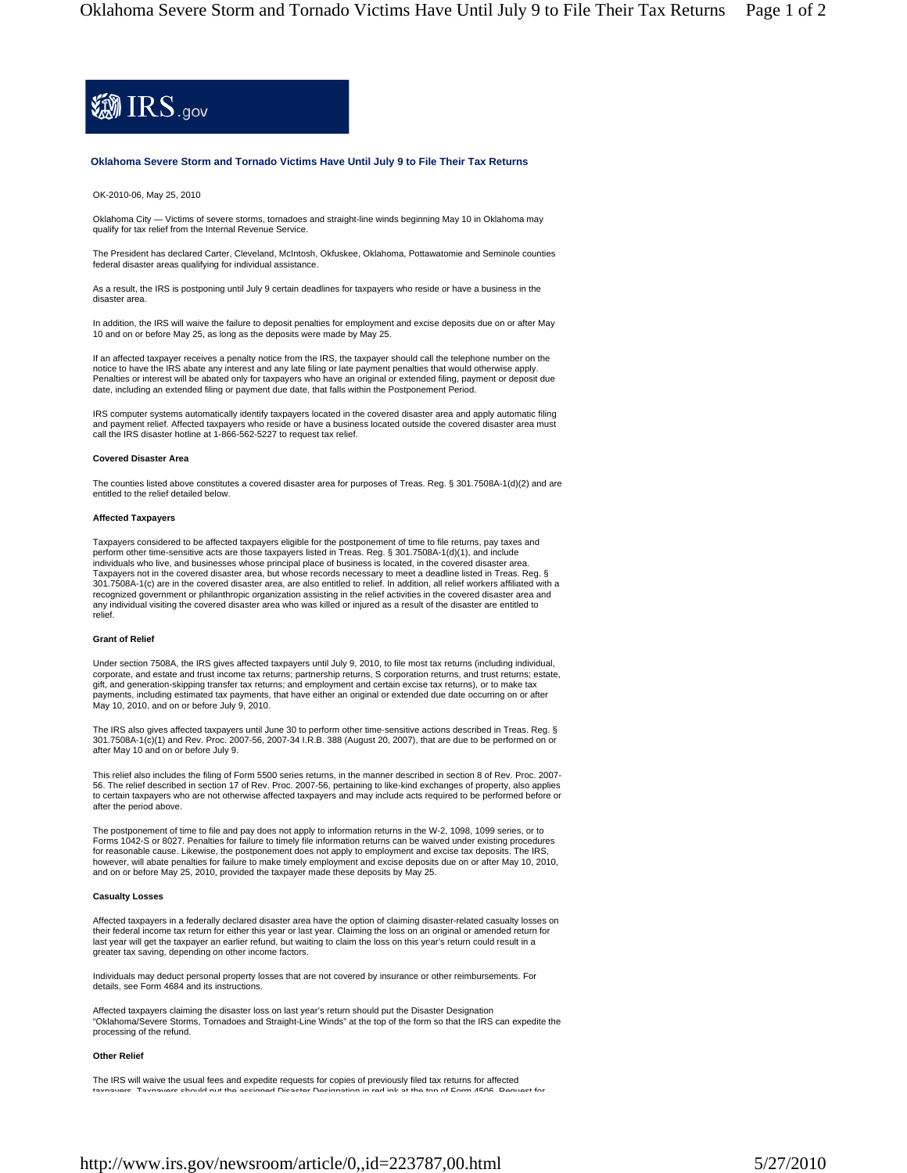

### **Oklahoma Severe Storm and Tornado Victims Have Until July 9 to File Their Tax Returns**

OK-2010-06, May 25, 2010

Oklahoma City — Victims of severe storms, tornadoes and straight-line winds beginning May 10 in Oklahoma may qualify for tax relief from the Internal Revenue Service.

The President has declared Carter, Cleveland, McIntosh, Okfuskee, Oklahoma, Pottawatomie and Seminole counties federal disaster areas qualifying for individual assistance.

As a result, the IRS is postponing until July 9 certain deadlines for taxpayers who reside or have a business in the disaster area.

In addition, the IRS will waive the failure to deposit penalties for employment and excise deposits due on or after May 10 and on or before May 25, as long as the deposits were made by May 25.

If an affected taxpayer receives a penalty notice from the IRS, the taxpayer should call the telephone number on the notice to have the IRS abate any interest and any late filing or late payment penalties that would otherwise apply.<br>Penalties or interest will be abated only for taxpayers who have an original or extended filing, payment o date, including an extended filing or payment due date, that falls within the Postponement Period.

IRS computer systems automatically identify taxpayers located in the covered disaster area and apply automatic filing and payment relief. Affected taxpayers who reside or have a business located outside the covered disaster area must call the IRS disaster hotline at 1-866-562-5227 to request tax relief.

#### **Covered Disaster Area**

The counties listed above constitutes a covered disaster area for purposes of Treas. Reg. § 301.7508A-1(d)(2) and are entitled to the relief detailed below.

#### **Affected Taxpayers**

Taxpayers considered to be affected taxpayers eligible for the postponement of time to file returns, pay taxes and perform other time-sensitive acts are those taxpayers listed in Treas. Reg. § 301.7508A-1(d)(1), and include individuals who live, and businesses whose principal place of business is located, in the covered disaster area. Taxpayers not in the covered disaster area, but whose records necessary to meet a deadline listed in Treas. Reg. § 301.7508A-1(c) are in the covered disaster area, are also entitled to relief. In addition, all relief workers affiliated with a recognized government or philanthropic organization assisting in the relief activities in the covered disaster area and any individual visiting the covered disaster area who was killed or injured as a result of the disaster are entitled to relief.

#### **Grant of Relief**

Under section 7508A, the IRS gives affected taxpayers until July 9, 2010, to file most tax returns (including individual, corporate, and estate and trust income tax returns; partnership returns, S corporation returns, and trust returns; estate,<br>gift, and generation-skipping transfer tax returns; and employment and certain excise tax returns), payments, including estimated tax payments, that have either an original or extended due date occurring on or after May 10, 2010, and on or before July 9, 2010.

The IRS also gives affected taxpayers until June 30 to perform other time-sensitive actions described in Treas. Reg. §<br>301.7508A-1(c)(1) and Rev. Proc. 2007-56, 2007-34 I.R.B. 388 (August 20, 2007), that are due to be perf after May 10 and on or before July 9.

This relief also includes the filing of Form 5500 series returns, in the manner described in section 8 of Rev. Proc. 2007- 56. The relief described in section 17 of Rev. Proc. 2007-56, pertaining to like-kind exchanges of property, also applies to certain taxpayers who are not otherwise affected taxpayers and may include acts required to be performed before or after the period above.

The postponement of time to file and pay does not apply to information returns in the W-2, 1098, 1099 series, or to Forms 1042-S or 8027. Penalties for failure to timely file information returns can be waived under existing procedures for reasonable cause. Likewise, the postponement does not apply to employment and excise tax deposits. The IRS, however, will abate penalties for failure to make timely employment and excise deposits due on or after May 10, 2010,<br>and on or before May 25, 2010, provided the taxpayer made these deposits by May 25.

#### **Casualty Losses**

Affected taxpayers in a federally declared disaster area have the option of claiming disaster-related casualty losses on<br>their federal income tax return for either this year or last year. Claiming the loss on an original o last year will get the taxpayer an earlier refund, but waiting to claim the loss on this year's return could result in a greater tax saving, depending on other income factors.

Individuals may deduct personal property losses that are not covered by insurance or other reimbursements. For details, see Form 4684 and its instructions.

Affected taxpayers claiming the disaster loss on last year's return should put the Disaster Designation "Oklahoma/Severe Storms, Tornadoes and Straight-Line Winds" at the top of the form so that the IRS can expedite the processing of the refund.

## **Other Relief**

The IRS will waive the usual fees and expedite requests for copies of previously filed tax returns for affected taxpayers Taxpayers should put the assigned Disaster Designation in red ink at the top of Form 4506 Request for